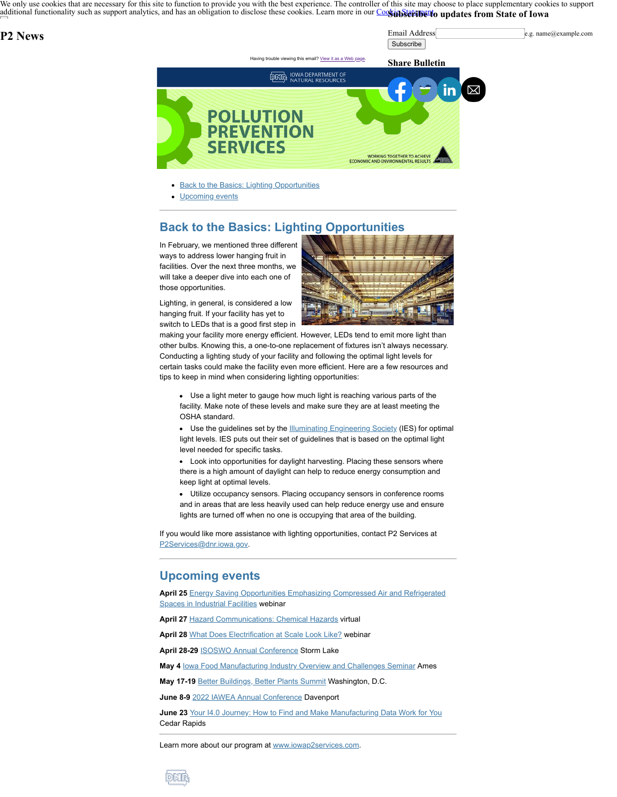We only use cookies that are necessary for this site to function to provide you with the best experience. The controller of this site may choose to place supplementary cookies to support [additional functionality such as support analytics, and has an obligation to disclose these cook](https://www.iowa.gov/)ies. Learn more in our Coostin Stature to updates from State of Iowa

## **P2 News**

Email Address e.g. name@example.com **Subscribe** 



- **[Back to the Basics: Lighting Opportunities](#page-0-0)**
- [Upcoming events](#page-0-1)

## <span id="page-0-0"></span>**Back to the Basics: Lighting Opportunities**

In February, we mentioned three different ways to address lower hanging fruit in facilities. Over the next three months, we will take a deeper dive into each one of those opportunities.

Lighting, in general, is considered a low hanging fruit. If your facility has yet to switch to LEDs that is a good first step in



making your facility more energy efficient. However, LEDs tend to emit more light than other bulbs. Knowing this, a one-to-one replacement of fixtures isn't always necessary. Conducting a lighting study of your facility and following the optimal light levels for certain tasks could make the facility even more efficient. Here are a few resources and tips to keep in mind when considering lighting opportunities:

Use a light meter to gauge how much light is reaching various parts of the facility. Make note of these levels and make sure they are at least meeting the OSHA standard.

Use the guidelines set by the [Illuminating Engineering Society](https://www.ies.org/?utm_medium=email&utm_source=govdelivery) (IES) for optimal light levels. IES puts out their set of guidelines that is based on the optimal light level needed for specific tasks.

Look into opportunities for daylight harvesting. Placing these sensors where there is a high amount of daylight can help to reduce energy consumption and keep light at optimal levels.

Utilize occupancy sensors. Placing occupancy sensors in conference rooms and in areas that are less heavily used can help reduce energy use and ensure lights are turned off when no one is occupying that area of the building.

If you would like more assistance with lighting opportunities, contact P2 Services at [P2Services@dnr.iowa.gov](mailto:P2Services@dnr.iowa.gov).

## <span id="page-0-1"></span>**Upcoming events**

**April 25** [Energy Saving Opportunities Emphasizing Compressed Air and Refrigerated](https://teams.microsoft.com/registration/uzwUF1w4RUyjasZbcuPq6A,PUwETEnhH0iWb-nQeRSs7A,41pSOPHK5Uiw0KeZiD4uWA,wTXoTcVZQ0mrFbGUiFrc4Q,UwEj8idwd0iAxbm8iqM-_w,eXeIL1MYf029SOTPlTRocg?mode=read&skipauthstrap=1&tenantId=17143cbb-385c-4c45-a36a-c65b72e3eae8&utm_medium=email&utm_source=govdelivery) Spaces in Industrial Facilities webinar

**April 27** [Hazard Communications: Chemical Hazards](https://sh.ae.iastate.edu/?utm_medium=email&utm_source=govdelivery) virtual

**April 28** [What Does Electrification at Scale Look Like?](https://us06web.zoom.us/webinar/register/WN_AO0aVG2ZTDKySMZ4TTKiZQ?utm_medium=email&utm_source=govdelivery) webinar

April 28-29 **[ISOSWO Annual Conference](https://isoswo.org/meetinginfo.php?id=79&utm_medium=email&utm_source=govdelivery) Storm Lake** 

**May 4 [Iowa Food Manufacturing Industry Overview and Challenges Seminar](https://www.iowaabi.org/events/detail/278-iowa-food-manufacturing-industry-overview-and-challenges-seminar/?utm_medium=email&utm_source=govdelivery) Ames** 

**May 17-19** [Better Buildings, Better Plants Summit](https://betterbuildingssolutioncenter.energy.gov/summit?utm_medium=email&utm_source=govdelivery) Washington, D.C.

**June 8-9** [2022 IAWEA Annual Conference](https://www.iawea.org/event/2022-iawea-annual-conference/?utm_medium=email&utm_source=govdelivery) Davenport

**June 23** [Your I4.0 Journey: How to Find and Make Manufacturing Data Work for You](https://www.ciras.iastate.edu/events-workshops/?utm_medium=email&utm_source=govdelivery) Cedar Rapids

Learn more about our program at [www.iowap2services.com](http://www.iowap2services.com/?utm_medium=email&utm_source=govdelivery).